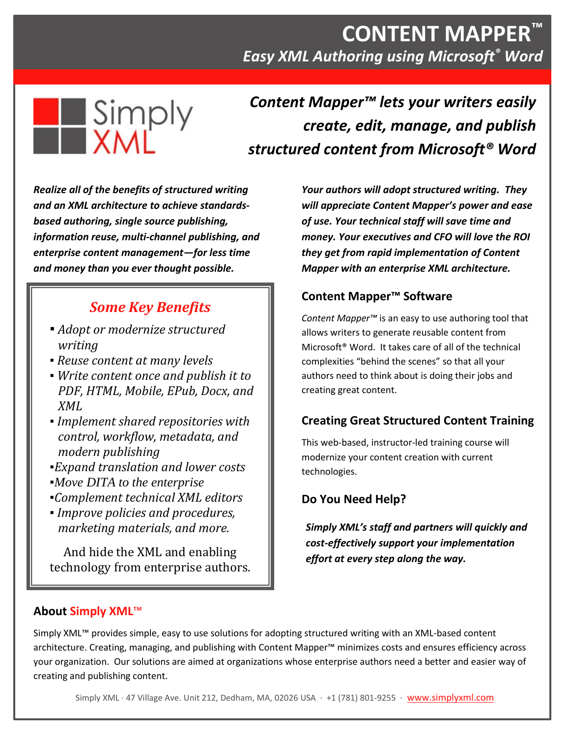# **CONTENT MAPPER™** *Easy XML Authoring using Microsoft® Word*



*Content Mapper™ lets your writers easily create, edit, manage, and publish structured content from Microsoft® Word*

*Realize all of the benefits of structured writing and an XML architecture to achieve standardsbased authoring, single source publishing, information reuse, multi-channel publishing, and enterprise content management—for less time and money than you ever thought possible.*

## *Some Key Benefits*

- *▪ Adopt or modernize structured writing*
- *▪ Reuse content at many levels*
- *▪ Write content once and publish it to PDF, HTML, Mobile, EPub, Docx, and XML*
- *▪ Implement shared repositories with control, workflow, metadata, and modern publishing*
- *▪Expand translation and lower costs*
- *▪Move DITA to the enterprise*
- *▪Complement technical XML editors*
- *▪ Improve policies and procedures, marketing materials, and more.*

And hide the XML and enabling technology from enterprise authors. *Your authors will adopt structured writing. They will appreciate Content Mapper's power and ease of use. Your technical staff will save time and money. Your executives and CFO will love the ROI they get from rapid implementation of Content Mapper with an enterprise XML architecture.*

### **Content Mapper™ Software**

*Content Mapper™* is an easy to use authoring tool that allows writers to generate reusable content from Microsoft® Word. It takes care of all of the technical complexities "behind the scenes" so that all your authors need to think about is doing their jobs and creating great content.

## **Creating Great Structured Content Training**

This web-based, instructor-led training course will modernize your content creation with current technologies.

## **Do You Need Help?**

*Simply XML's staff and partners will quickly and cost-effectively support your implementation effort at every step along the way.*

#### **About Simply XML**™

Simply XML™ provides simple, easy to use solutions for adopting structured writing with an XML-based content architecture. Creating, managing, and publishing with Content Mapper™ minimizes costs and ensures efficiency across your organization. Our solutions are aimed at organizations whose enterprise authors need a better and easier way of creating and publishing content.

Simply XML · 47 Village Ave. Unit 212, Dedham, MA, 02026 USA · +1 (781) 801-9255 · [www.simplyxml.com](http://www.simplyxml.com/)